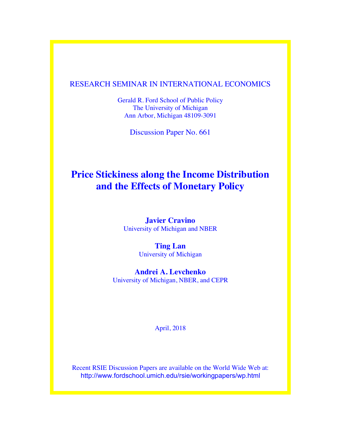## RESEARCH SEMINAR IN INTERNATIONAL ECONOMICS

Gerald R. Ford School of Public Policy The University of Michigan Ann Arbor, Michigan 48109-3091

Discussion Paper No. 661

## **Price Stickiness along the Income Distribution and the Effects of Monetary Policy**

**Javier Cravino** University of Michigan and NBER

> **Ting Lan** University of Michigan

**Andrei A. Levchenko** University of Michigan, NBER, and CEPR

April, 2018

Recent RSIE Discussion Papers are available on the World Wide Web at: http://www.fordschool.umich.edu/rsie/workingpapers/wp.html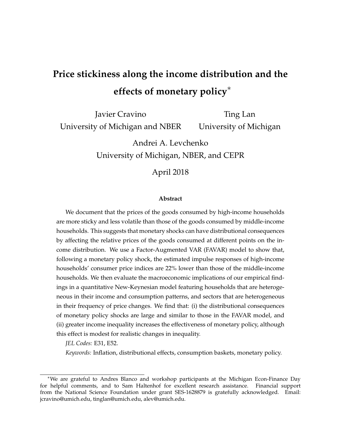# **Price stickiness along the income distribution and the effects of monetary policy**<sup>∗</sup>

Javier Cravino University of Michigan and NBER

Ting Lan University of Michigan

Andrei A. Levchenko University of Michigan, NBER, and CEPR

April 2018

#### **Abstract**

We document that the prices of the goods consumed by high-income households are more sticky and less volatile than those of the goods consumed by middle-income households. This suggests that monetary shocks can have distributional consequences by affecting the relative prices of the goods consumed at different points on the income distribution. We use a Factor-Augmented VAR (FAVAR) model to show that, following a monetary policy shock, the estimated impulse responses of high-income households' consumer price indices are 22% lower than those of the middle-income households. We then evaluate the macroeconomic implications of our empirical findings in a quantitative New-Keynesian model featuring households that are heterogeneous in their income and consumption patterns, and sectors that are heterogeneous in their frequency of price changes. We find that: (i) the distributional consequences of monetary policy shocks are large and similar to those in the FAVAR model, and (ii) greater income inequality increases the effectiveness of monetary policy, although this effect is modest for realistic changes in inequality.

*JEL Codes:* E31, E52.

*Keywords:* Inflation, distributional effects, consumption baskets, monetary policy.

<sup>∗</sup>We are grateful to Andres Blanco and workshop participants at the Michigan Econ-Finance Day for helpful comments, and to Sam Haltenhof for excellent research assistance. Financial support from the National Science Foundation under grant SES-1628879 is gratefully acknowledged. Email: jcravino@umich.edu, tinglan@umich.edu, alev@umich.edu.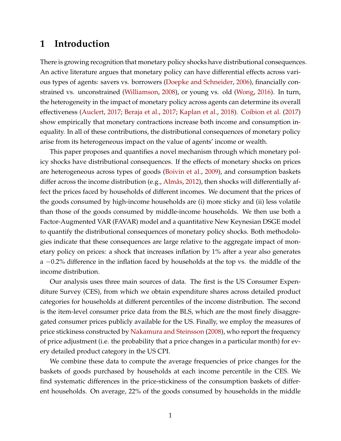## **1 Introduction**

There is growing recognition that monetary policy shocks have distributional consequences. An active literature argues that monetary policy can have differential effects across various types of agents: savers vs. borrowers [\(Doepke and Schneider,](#page-27-0) [2006\)](#page-27-0), financially constrained vs. unconstrained [\(Williamson,](#page-28-0) [2008\)](#page-28-0), or young vs. old [\(Wong,](#page-28-1) [2016\)](#page-28-1). In turn, the heterogeneity in the impact of monetary policy across agents can determine its overall effectiveness [\(Auclert,](#page-27-1) [2017;](#page-27-1) [Beraja et al.,](#page-27-2) [2017;](#page-27-2) [Kaplan et al.,](#page-28-2) [2018\)](#page-28-2). [Coibion et al.](#page-27-3) [\(2017\)](#page-27-3) show empirically that monetary contractions increase both income and consumption inequality. In all of these contributions, the distributional consequences of monetary policy arise from its heterogeneous impact on the value of agents' income or wealth.

This paper proposes and quantifies a novel mechanism through which monetary policy shocks have distributional consequences. If the effects of monetary shocks on prices are heterogeneous across types of goods [\(Boivin et al.,](#page-27-4) [2009\)](#page-27-4), and consumption baskets differ across the income distribution (e.g., [Almås,](#page-27-5) [2012\)](#page-27-5), then shocks will differentially affect the prices faced by households of different incomes. We document that the prices of the goods consumed by high-income households are (i) more sticky and (ii) less volatile than those of the goods consumed by middle-income households. We then use both a Factor-Augmented VAR (FAVAR) model and a quantitative New Keynesian DSGE model to quantify the distributional consequences of monetary policy shocks. Both methodologies indicate that these consequences are large relative to the aggregate impact of monetary policy on prices: a shock that increases inflation by 1% after a year also generates a −0.2% difference in the inflation faced by households at the top vs. the middle of the income distribution.

Our analysis uses three main sources of data. The first is the US Consumer Expenditure Survey (CES), from which we obtain expenditure shares across detailed product categories for households at different percentiles of the income distribution. The second is the item-level consumer price data from the BLS, which are the most finely disaggregated consumer prices publicly available for the US. Finally, we employ the measures of price stickiness constructed by [Nakamura and Steinsson](#page-28-3) [\(2008\)](#page-28-3), who report the frequency of price adjustment (i.e. the probability that a price changes in a particular month) for every detailed product category in the US CPI.

We combine these data to compute the average frequencies of price changes for the baskets of goods purchased by households at each income percentile in the CES. We find systematic differences in the price-stickiness of the consumption baskets of different households. On average, 22% of the goods consumed by households in the middle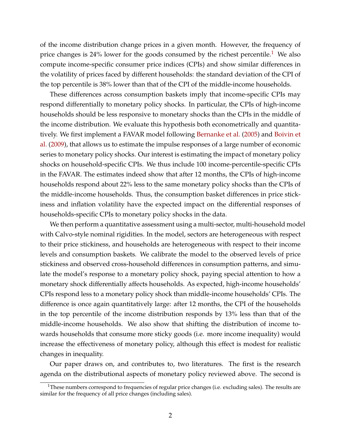of the income distribution change prices in a given month. However, the frequency of price changes is  $24\%$  lower for the goods consumed by the richest percentile.<sup>[1](#page-3-0)</sup> We also compute income-specific consumer price indices (CPIs) and show similar differences in the volatility of prices faced by different households: the standard deviation of the CPI of the top percentile is 38% lower than that of the CPI of the middle-income households.

These differences across consumption baskets imply that income-specific CPIs may respond differentially to monetary policy shocks. In particular, the CPIs of high-income households should be less responsive to monetary shocks than the CPIs in the middle of the income distribution. We evaluate this hypothesis both econometrically and quantitatively. We first implement a FAVAR model following [Bernanke et al.](#page-27-6) [\(2005\)](#page-27-6) and [Boivin et](#page-27-4) [al.](#page-27-4) [\(2009\)](#page-27-4), that allows us to estimate the impulse responses of a large number of economic series to monetary policy shocks. Our interest is estimating the impact of monetary policy shocks on household-specific CPIs. We thus include 100 income-percentile-specific CPIs in the FAVAR. The estimates indeed show that after 12 months, the CPIs of high-income households respond about 22% less to the same monetary policy shocks than the CPIs of the middle-income households. Thus, the consumption basket differences in price stickiness and inflation volatility have the expected impact on the differential responses of households-specific CPIs to monetary policy shocks in the data.

We then perform a quantitative assessment using a multi-sector, multi-household model with Calvo-style nominal rigidities. In the model, sectors are heterogeneous with respect to their price stickiness, and households are heterogeneous with respect to their income levels and consumption baskets. We calibrate the model to the observed levels of price stickiness and observed cross-household differences in consumption patterns, and simulate the model's response to a monetary policy shock, paying special attention to how a monetary shock differentially affects households. As expected, high-income households' CPIs respond less to a monetary policy shock than middle-income households' CPIs. The difference is once again quantitatively large: after 12 months, the CPI of the households in the top percentile of the income distribution responds by 13% less than that of the middle-income households. We also show that shifting the distribution of income towards households that consume more sticky goods (i.e. more income inequality) would increase the effectiveness of monetary policy, although this effect is modest for realistic changes in inequality.

Our paper draws on, and contributes to, two literatures. The first is the research agenda on the distributional aspects of monetary policy reviewed above. The second is

<span id="page-3-0"></span><sup>&</sup>lt;sup>1</sup>These numbers correspond to frequencies of regular price changes (i.e. excluding sales). The results are similar for the frequency of all price changes (including sales).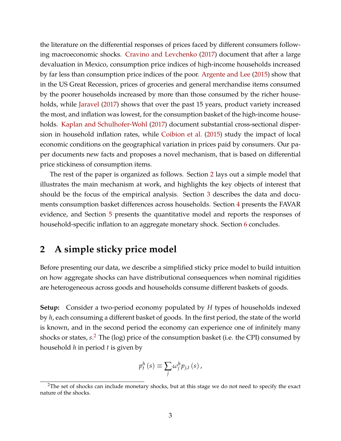the literature on the differential responses of prices faced by different consumers following macroeconomic shocks. [Cravino and Levchenko](#page-27-7) [\(2017\)](#page-27-7) document that after a large devaluation in Mexico, consumption price indices of high-income households increased by far less than consumption price indices of the poor. [Argente and Lee](#page-27-8) [\(2015\)](#page-27-8) show that in the US Great Recession, prices of groceries and general merchandise items consumed by the poorer households increased by more than those consumed by the richer households, while [Jaravel](#page-28-4) [\(2017\)](#page-28-4) shows that over the past 15 years, product variety increased the most, and inflation was lowest, for the consumption basket of the high-income households. [Kaplan and Schulhofer-Wohl](#page-28-5) [\(2017\)](#page-28-5) document substantial cross-sectional dispersion in household inflation rates, while [Coibion et al.](#page-27-9) [\(2015\)](#page-27-9) study the impact of local economic conditions on the geographical variation in prices paid by consumers. Our paper documents new facts and proposes a novel mechanism, that is based on differential price stickiness of consumption items.

The rest of the paper is organized as follows. Section [2](#page-4-0) lays out a simple model that illustrates the main mechanism at work, and highlights the key objects of interest that should be the focus of the empirical analysis. Section [3](#page-7-0) describes the data and documents consumption basket differences across households. Section [4](#page-15-0) presents the FAVAR evidence, and Section [5](#page-17-0) presents the quantitative model and reports the responses of household-specific inflation to an aggregate monetary shock. Section [6](#page-24-0) concludes.

## <span id="page-4-0"></span>**2 A simple sticky price model**

Before presenting our data, we describe a simplified sticky price model to build intuition on how aggregate shocks can have distributional consequences when nominal rigidities are heterogeneous across goods and households consume different baskets of goods.

**Setup:** Consider a two-period economy populated by *H* types of households indexed by *h*, each consuming a different basket of goods. In the first period, the state of the world is known, and in the second period the economy can experience one of infinitely many shocks or states, *s*. [2](#page-4-1) The (log) price of the consumption basket (i.e. the CPI) consumed by household *h* in period *t* is given by

$$
p_t^h(s) \equiv \sum_j \omega_j^h p_{j,t}(s),
$$

<span id="page-4-1"></span> $2$ The set of shocks can include monetary shocks, but at this stage we do not need to specify the exact nature of the shocks.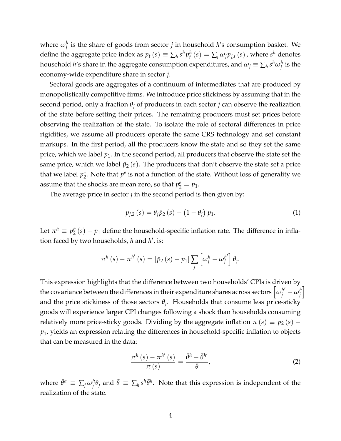where  $\omega_j^h$  is the share of goods from sector  $j$  in household  $h$ 's consumption basket. We define the aggregate price index as  $p_t$   $(s) \equiv \sum_h s^h p^h_t$   $(s) = \sum_j \omega_j p_{j,t}$   $(s)$  , where  $s^h$  denotes household  $h$ 's share in the aggregate consumption expenditures, and  $\omega_j \equiv \sum_h s^h \omega_j^h$  is the economy-wide expenditure share in sector *j*.

Sectoral goods are aggregates of a continuum of intermediates that are produced by monopolistically competitive firms. We introduce price stickiness by assuming that in the second period, only a fraction  $\theta$ <sup>*j*</sup> of producers in each sector *j* can observe the realization of the state before setting their prices. The remaining producers must set prices before observing the realization of the state. To isolate the role of sectoral differences in price rigidities, we assume all producers operate the same CRS technology and set constant markups. In the first period, all the producers know the state and so they set the same price, which we label *p*1. In the second period, all producers that observe the state set the same price, which we label  $\bar{p}_2(s)$ . The producers that don't observe the state set a price that we label *p e*  $e$ <sup>2</sup>. Note that  $p^e$  is not a function of the state. Without loss of generality we assume that the shocks are mean zero, so that  $p_2^e = p_1$ .

The average price in sector  $j$  in the second period is then given by:

<span id="page-5-1"></span>
$$
p_{j,2}(s) = \theta_j \bar{p}_2(s) + (1 - \theta_j) p_1.
$$
 (1)

Let  $\pi^h \equiv p_2^h$  $2<sup>h</sup>(s) - p<sub>1</sub>$  define the household-specific inflation rate. The difference in inflation faced by two households, *h* and *h'*, is:

$$
\pi^{h}(s) - \pi^{h'}(s) = [\bar{p}_2(s) - p_1] \sum_{j} \left[ \omega_j^{h} - \omega_j^{h'} \right] \theta_j.
$$

This expression highlights that the difference between two households' CPIs is driven by the covariance between the differences in their expenditure shares across sectors  $\left[\omega_j^{h'}-\omega_j^h\right]$ i and the price stickiness of those sectors *θ<sup>j</sup>* . Households that consume less price-sticky goods will experience larger CPI changes following a shock than households consuming relatively more price-sticky goods. Dividing by the aggregate inflation  $\pi(s) \equiv p_2(s)$  – *p*1, yields an expression relating the differences in household-specific inflation to objects that can be measured in the data:

<span id="page-5-0"></span>
$$
\frac{\pi^{h}\left(s\right)-\pi^{h'}\left(s\right)}{\pi\left(s\right)}=\frac{\bar{\theta}^{h}-\bar{\theta}^{h'}}{\bar{\theta}},\tag{2}
$$

where  $\bar{\theta}^h \equiv \sum_j \omega_j^h \theta_j$  and  $\bar{\theta} \equiv \sum_h s^h \bar{\theta}^h$ . Note that this expression is independent of the realization of the state.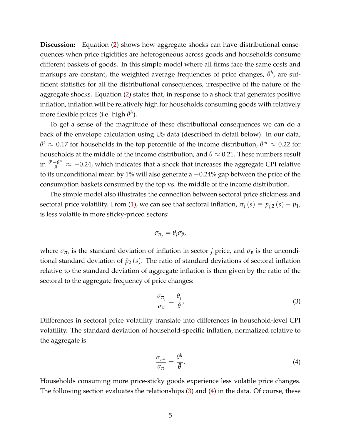**Discussion:** Equation [\(2\)](#page-5-0) shows how aggregate shocks can have distributional consequences when price rigidities are heterogeneous across goods and households consume different baskets of goods. In this simple model where all firms face the same costs and markups are constant, the weighted average frequencies of price changes,  $\bar{\theta}^h$ , are sufficient statistics for all the distributional consequences, irrespective of the nature of the aggregate shocks. Equation [\(2\)](#page-5-0) states that, in response to a shock that generates positive inflation, inflation will be relatively high for households consuming goods with relatively more flexible prices (i.e. high  $\bar{\theta}^h$ ).

To get a sense of the magnitude of these distributional consequences we can do a back of the envelope calculation using US data (described in detail below). In our data,  $\bar{\theta}^t \approx 0.17$  for households in the top percentile of the income distribution,  $\bar{\theta}^m \approx 0.22$  for households at the middle of the income distribution, and  $\bar{\theta} \approx 0.21$ . These numbers result in  $\frac{\bar{\theta}^t - \bar{\theta}^m}{\bar{\theta}}$  $\frac{-\theta^m}{\overline{\theta}}$  ≈ -0.24, which indicates that a shock that increases the aggregate CPI relative to its unconditional mean by 1% will also generate a −0.24% gap between the price of the consumption baskets consumed by the top vs. the middle of the income distribution.

The simple model also illustrates the connection between sectoral price stickiness and sectoral price volatility. From [\(1\)](#page-5-1), we can see that sectoral inflation,  $\pi_i(s) \equiv p_{i,2}(s) - p_1$ , is less volatile in more sticky-priced sectors:

$$
\sigma_{\pi_j}=\theta_j\sigma_{\bar{p}},
$$

where  $\sigma_{\pi_j}$  is the standard deviation of inflation in sector *j* price, and  $\sigma_{\bar{p}}$  is the unconditional standard deviation of  $\bar{p}_2(s)$ . The ratio of standard deviations of sectoral inflation relative to the standard deviation of aggregate inflation is then given by the ratio of the sectoral to the aggregate frequency of price changes:

<span id="page-6-0"></span>
$$
\frac{\sigma_{\pi_j}}{\sigma_{\pi}} = \frac{\theta_j}{\bar{\theta}},\tag{3}
$$

Differences in sectoral price volatility translate into differences in household-level CPI volatility. The standard deviation of household-specific inflation, normalized relative to the aggregate is:

<span id="page-6-1"></span>
$$
\frac{\sigma_{\pi^h}}{\sigma_{\pi}} = \frac{\bar{\theta}^h}{\bar{\theta}}.
$$
\n(4)

Households consuming more price-sticky goods experience less volatile price changes. The following section evaluates the relationships [\(3\)](#page-6-0) and [\(4\)](#page-6-1) in the data. Of course, these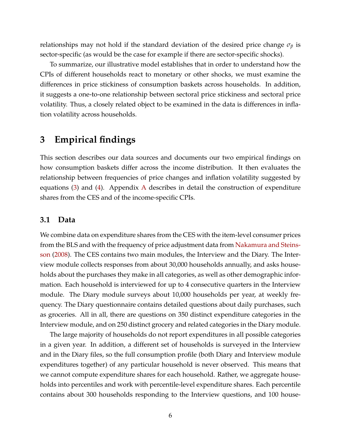relationships may not hold if the standard deviation of the desired price change  $\sigma_{\bar{p}}$  is sector-specific (as would be the case for example if there are sector-specific shocks).

To summarize, our illustrative model establishes that in order to understand how the CPIs of different households react to monetary or other shocks, we must examine the differences in price stickiness of consumption baskets across households. In addition, it suggests a one-to-one relationship between sectoral price stickiness and sectoral price volatility. Thus, a closely related object to be examined in the data is differences in inflation volatility across households.

## <span id="page-7-0"></span>**3 Empirical findings**

This section describes our data sources and documents our two empirical findings on how consumption baskets differ across the income distribution. It then evaluates the relationship between frequencies of price changes and inflation volatility suggested by equations [\(3\)](#page-6-0) and [\(4\)](#page-6-1). Appendix [A](#page-30-0) describes in detail the construction of expenditure shares from the CES and of the income-specific CPIs.

### **3.1 Data**

We combine data on expenditure shares from the CES with the item-level consumer prices from the BLS and with the frequency of price adjustment data from [Nakamura and Steins](#page-28-3)[son](#page-28-3) [\(2008\)](#page-28-3). The CES contains two main modules, the Interview and the Diary. The Interview module collects responses from about 30,000 households annually, and asks households about the purchases they make in all categories, as well as other demographic information. Each household is interviewed for up to 4 consecutive quarters in the Interview module. The Diary module surveys about 10,000 households per year, at weekly frequency. The Diary questionnaire contains detailed questions about daily purchases, such as groceries. All in all, there are questions on 350 distinct expenditure categories in the Interview module, and on 250 distinct grocery and related categories in the Diary module.

The large majority of households do not report expenditures in all possible categories in a given year. In addition, a different set of households is surveyed in the Interview and in the Diary files, so the full consumption profile (both Diary and Interview module expenditures together) of any particular household is never observed. This means that we cannot compute expenditure shares for each household. Rather, we aggregate households into percentiles and work with percentile-level expenditure shares. Each percentile contains about 300 households responding to the Interview questions, and 100 house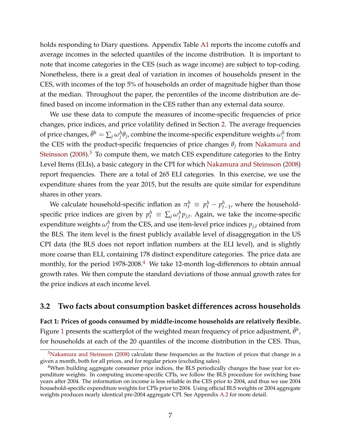holds responding to Diary questions. Appendix Table [A1](#page-29-0) reports the income cutoffs and average incomes in the selected quantiles of the income distribution. It is important to note that income categories in the CES (such as wage income) are subject to top-coding. Nonetheless, there is a great deal of variation in incomes of households present in the CES, with incomes of the top 5% of households an order of magnitude higher than those at the median. Throughout the paper, the percentiles of the income distribution are defined based on income information in the CES rather than any external data source.

We use these data to compute the measures of income-specific frequencies of price changes, price indices, and price volatility defined in Section [2.](#page-4-0) The average frequencies of price changes,  $\bar{\theta}^h = \sum_j \omega_j^h \theta_j$ , combine the income-specific expenditure weights  $\omega_j^h$  from the CES with the product-specific frequencies of price changes *θ<sup>j</sup>* from [Nakamura and](#page-28-3) [Steinsson](#page-28-3)  $(2008).<sup>3</sup>$  $(2008).<sup>3</sup>$  $(2008).<sup>3</sup>$  $(2008).<sup>3</sup>$  To compute them, we match CES expenditure categories to the Entry Level Items (ELIs), a basic category in the CPI for which [Nakamura and Steinsson](#page-28-3) [\(2008\)](#page-28-3) report frequencies. There are a total of 265 ELI categories. In this exercise, we use the expenditure shares from the year 2015, but the results are quite similar for expenditure shares in other years.

We calculate household-specific inflation as  $\pi_t^h \equiv p_t^h - p_{t-1}^h$ , where the householdspecific price indices are given by  $p_t^h \equiv \sum_j \omega_j^h p_{j,t}$ . Again, we take the income-specific expenditure weights  $\omega_j^h$  from the CES, and use item-level price indices  $p_{j,t}$  obtained from the BLS. The item level is the finest publicly available level of disaggregation in the US CPI data (the BLS does not report inflation numbers at the ELI level), and is slightly more coarse than ELI, containing 178 distinct expenditure categories. The price data are monthly, for the period  $1978-2008<sup>4</sup>$  $1978-2008<sup>4</sup>$  $1978-2008<sup>4</sup>$  We take 12-month log-differences to obtain annual growth rates. We then compute the standard deviations of those annual growth rates for the price indices at each income level.

#### **3.2 Two facts about consumption basket differences across households**

**Fact 1: Prices of goods consumed by middle-income households are relatively flexible.** Figure [1](#page-9-0) presents the scatterplot of the weighted mean frequency of price adjustment,  $\bar{\theta}^h$ , for households at each of the 20 quantiles of the income distribution in the CES. Thus,

<span id="page-8-0"></span><sup>&</sup>lt;sup>3</sup>[Nakamura and Steinsson](#page-28-3) [\(2008\)](#page-28-3) calculate these frequencies as the fraction of prices that change in a given a month, both for all prices, and for regular prices (excluding sales).

<span id="page-8-1"></span><sup>&</sup>lt;sup>4</sup>When building aggregate consumer price indices, the BLS periodically changes the base year for expenditure weights. In computing income-specific CPIs, we follow the BLS procedure for switching base years after 2004. The information on income is less reliable in the CES prior to 2004, and thus we use 2004 household-specific expenditure weights for CPIs prior to 2004. Using official BLS weights or 2004 aggregate weights produces nearly identical pre-2004 aggregate CPI. See Appendix [A.2](#page-35-0) for more detail.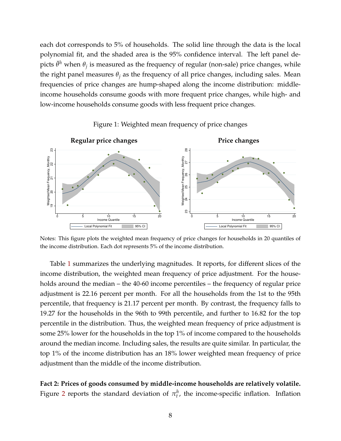each dot corresponds to 5% of households. The solid line through the data is the local polynomial fit, and the shaded area is the 95% confidence interval. The left panel depicts  $\bar{\theta}^h$  when  $\theta_j$  is measured as the frequency of regular (non-sale) price changes, while the right panel measures  $\theta_j$  as the frequency of all price changes, including sales. Mean frequencies of price changes are hump-shaped along the income distribution: middleincome households consume goods with more frequent price changes, while high- and low-income households consume goods with less frequent price changes.



<span id="page-9-0"></span>Figure 1: Weighted mean frequency of price changes

Notes: This figure plots the weighted mean frequency of price changes for households in 20 quantiles of the income distribution. Each dot represents 5% of the income distribution.

Table [1](#page-10-0) summarizes the underlying magnitudes. It reports, for different slices of the income distribution, the weighted mean frequency of price adjustment. For the households around the median – the 40-60 income percentiles – the frequency of regular price adjustment is 22.16 percent per month. For all the households from the 1st to the 95th percentile, that frequency is 21.17 percent per month. By contrast, the frequency falls to 19.27 for the households in the 96th to 99th percentile, and further to 16.82 for the top percentile in the distribution. Thus, the weighted mean frequency of price adjustment is some 25% lower for the households in the top 1% of income compared to the households around the median income. Including sales, the results are quite similar. In particular, the top 1% of the income distribution has an 18% lower weighted mean frequency of price adjustment than the middle of the income distribution.

**Fact 2: Prices of goods consumed by middle-income households are relatively volatile.** Figure [2](#page-11-0) reports the standard deviation of  $\pi_t^h$ , the income-specific inflation. Inflation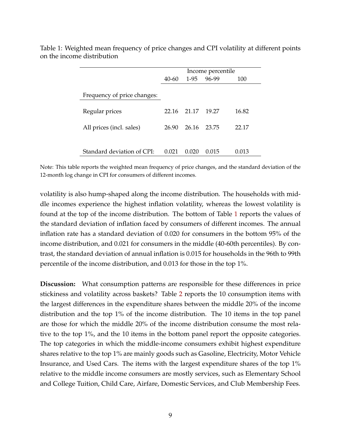|                             | Income percentile               |       |       |       |  |
|-----------------------------|---------------------------------|-------|-------|-------|--|
|                             | 96-99<br>$1-95$<br>40-60<br>100 |       |       |       |  |
| Frequency of price changes: |                                 |       |       |       |  |
| Regular prices              | 22.16                           | 21.17 | 19.27 | 16.82 |  |
| All prices (incl. sales)    | 26.90                           | 26.16 | 23.75 | 22.17 |  |
| Standard deviation of CPI:  | 0.021                           | 0.020 | 0.015 | 0.013 |  |

<span id="page-10-0"></span>Table 1: Weighted mean frequency of price changes and CPI volatility at different points on the income distribution

Note: This table reports the weighted mean frequency of price changes, and the standard deviation of the 12-month log change in CPI for consumers of different incomes.

volatility is also hump-shaped along the income distribution. The households with middle incomes experience the highest inflation volatility, whereas the lowest volatility is found at the top of the income distribution. The bottom of Table [1](#page-10-0) reports the values of the standard deviation of inflation faced by consumers of different incomes. The annual inflation rate has a standard deviation of 0.020 for consumers in the bottom 95% of the income distribution, and 0.021 for consumers in the middle (40-60th percentiles). By contrast, the standard deviation of annual inflation is 0.015 for households in the 96th to 99th percentile of the income distribution, and 0.013 for those in the top 1%.

**Discussion:** What consumption patterns are responsible for these differences in price stickiness and volatility across baskets? Table [2](#page-12-0) reports the 10 consumption items with the largest differences in the expenditure shares between the middle 20% of the income distribution and the top 1% of the income distribution. The 10 items in the top panel are those for which the middle 20% of the income distribution consume the most relative to the top 1%, and the 10 items in the bottom panel report the opposite categories. The top categories in which the middle-income consumers exhibit highest expenditure shares relative to the top 1% are mainly goods such as Gasoline, Electricity, Motor Vehicle Insurance, and Used Cars. The items with the largest expenditure shares of the top 1% relative to the middle income consumers are mostly services, such as Elementary School and College Tuition, Child Care, Airfare, Domestic Services, and Club Membership Fees.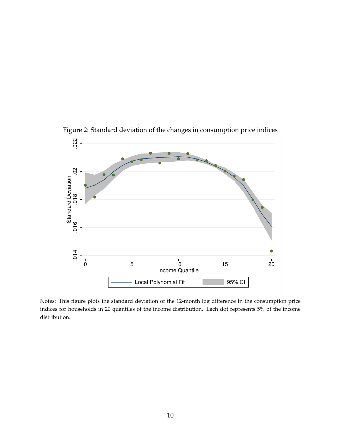

<span id="page-11-0"></span>Figure 2: Standard deviation of the changes in consumption price indices

Notes: This figure plots the standard deviation of the 12-month log difference in the consumption price indices for households in 20 quantiles of the income distribution. Each dot represents 5% of the income distribution.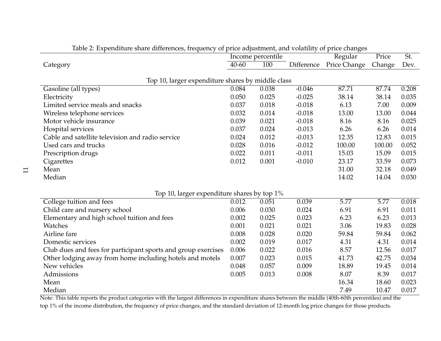|                                                               |           | Income percentile |            | ັ<br>Regular | Price  | St.                |
|---------------------------------------------------------------|-----------|-------------------|------------|--------------|--------|--------------------|
| Category                                                      | $40 - 60$ | 100               | Difference | Price Change | Change | Dev.               |
|                                                               |           |                   |            |              |        |                    |
| Top 10, larger expenditure shares by middle class             |           |                   |            |              |        |                    |
| Gasoline (all types)                                          | 0.084     | 0.038             | $-0.046$   | 87.71        | 87.74  | 0.208              |
| Electricity                                                   | 0.050     | 0.025             | $-0.025$   | 38.14        | 38.14  | 0.035              |
| Limited service meals and snacks                              | 0.037     | 0.018             | $-0.018$   | 6.13         | 7.00   | 0.009              |
| Wireless telephone services                                   | 0.032     | 0.014             | $-0.018$   | 13.00        | 13.00  | 0.044              |
| Motor vehicle insurance                                       | 0.039     | 0.021             | $-0.018$   | 8.16         | 8.16   | 0.025              |
| Hospital services                                             | 0.037     | 0.024             | $-0.013$   | 6.26         | 6.26   | 0.014              |
| Cable and satellite television and radio service              | 0.024     | 0.012             | $-0.013$   | 12.35        | 12.83  | 0.015              |
| Used cars and trucks                                          | 0.028     | 0.016             | $-0.012$   | 100.00       | 100.00 | 0.052              |
| Prescription drugs                                            | 0.022     | 0.011             | $-0.011$   | 15.03        | 15.09  | 0.015              |
| Cigarettes                                                    | 0.012     | 0.001             | $-0.010$   | 23.17        | 33.59  | 0.073              |
| Mean                                                          |           |                   |            | 31.00        | 32.18  | 0.049              |
| Median                                                        |           |                   |            | 14.02        | 14.04  | 0.030              |
|                                                               |           |                   |            |              |        |                    |
| Top 10, larger expenditure shares by top 1%                   |           |                   |            |              |        |                    |
| College tuition and fees                                      | 0.012     | 0.051             | 0.039      | 5.77         | 5.77   | $\overline{0.018}$ |
| Child care and nursery school                                 | 0.006     | 0.030             | 0.024      | 6.91         | 6.91   | 0.011              |
| Elementary and high school tuition and fees                   | 0.002     | 0.025             | 0.023      | 6.23         | 6.23   | 0.013              |
| Watches                                                       | 0.001     | 0.021             | 0.021      | 3.06         | 19.83  | 0.028              |
| Airline fare                                                  | 0.008     | 0.028             | 0.020      | 59.84        | 59.84  | 0.062              |
| Domestic services                                             | 0.002     | 0.019             | 0.017      | 4.31         | 4.31   | 0.014              |
| Club dues and fees for participant sports and group exercises | 0.006     | 0.022             | 0.016      | 8.57         | 12.56  | 0.017              |
| Other lodging away from home including hotels and motels      | 0.007     | 0.023             | 0.015      | 41.73        | 42.75  | 0.034              |
| New vehicles                                                  | 0.048     | 0.057             | 0.009      | 18.89        | 19.45  | 0.014              |
| Admissions                                                    | 0.005     | 0.013             | 0.008      | 8.07         | 8.39   | 0.017              |
| Mean                                                          |           |                   |            | 16.34        | 18.60  | 0.023              |
| Median                                                        |           |                   |            | 7.49         | 10.47  | 0.017              |

<span id="page-12-0"></span>Table 2: Expenditure share differences, frequency of price adjustment, and volatility of price changes

Note: This table reports the product categories with the largest differences in expenditure shares between the middle (40th-60th percentiles) and thetop 1% of the income distribution, the frequency of price changes, and the standard deviation of 12-month log price changes for those products.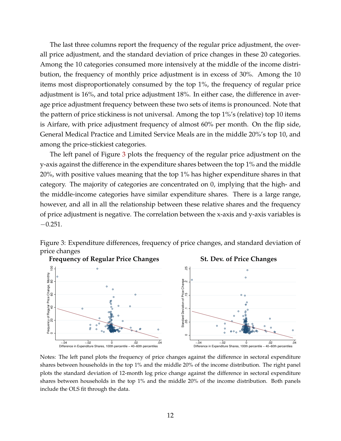The last three columns report the frequency of the regular price adjustment, the overall price adjustment, and the standard deviation of price changes in these 20 categories. Among the 10 categories consumed more intensively at the middle of the income distribution, the frequency of monthly price adjustment is in excess of 30%. Among the 10 items most disproportionately consumed by the top 1%, the frequency of regular price adjustment is 16%, and total price adjustment 18%. In either case, the difference in average price adjustment frequency between these two sets of items is pronounced. Note that the pattern of price stickiness is not universal. Among the top 1%'s (relative) top 10 items is Airfare, with price adjustment frequency of almost 60% per month. On the flip side, General Medical Practice and Limited Service Meals are in the middle 20%'s top 10, and among the price-stickiest categories.

The left panel of Figure [3](#page-13-0) plots the frequency of the regular price adjustment on the y-axis against the difference in the expenditure shares between the top 1% and the middle 20%, with positive values meaning that the top 1% has higher expenditure shares in that category. The majority of categories are concentrated on 0, implying that the high- and the middle-income categories have similar expenditure shares. There is a large range, however, and all in all the relationship between these relative shares and the frequency of price adjustment is negative. The correlation between the x-axis and y-axis variables is  $-0.251.$ 

<span id="page-13-0"></span>Figure 3: Expenditure differences, frequency of price changes, and standard deviation of price changes



Notes: The left panel plots the frequency of price changes against the difference in sectoral expenditure shares between households in the top 1% and the middle 20% of the income distribution. The right panel plots the standard deviation of 12-month log price change against the difference in sectoral expenditure shares between households in the top 1% and the middle 20% of the income distribution. Both panels include the OLS fit through the data.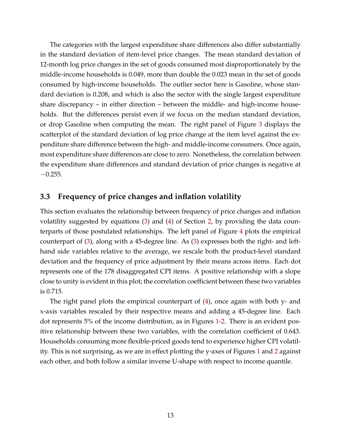The categories with the largest expenditure share differences also differ substantially in the standard deviation of item-level price changes. The mean standard deviation of 12-month log price changes in the set of goods consumed most disproportionately by the middle-income households is 0.049, more than double the 0.023 mean in the set of goods consumed by high-income households. The outlier sector here is Gasoline, whose standard deviation is 0.208, and which is also the sector with the single largest expenditure share discrepancy – in either direction – between the middle- and high-income households. But the differences persist even if we focus on the median standard deviation, or drop Gasoline when computing the mean. The right panel of Figure [3](#page-13-0) displays the scatterplot of the standard deviation of log price change at the item level against the expenditure share difference between the high- and middle-income consumers. Once again, most expenditure share differences are close to zero. Nonetheless, the correlation between the expenditure share differences and standard deviation of price changes is negative at  $-0.255.$ 

## **3.3 Frequency of price changes and inflation volatility**

This section evaluates the relationship between frequency of price changes and inflation volatility suggested by equations [\(3\)](#page-6-0) and [\(4\)](#page-6-1) of Section [2,](#page-4-0) by providing the data counterparts of those postulated relationships. The left panel of Figure [4](#page-15-1) plots the empirical counterpart of [\(3\)](#page-6-0), along with a 45-degree line. As [\(3\)](#page-6-0) expresses both the right- and lefthand side variables relative to the average, we rescale both the product-level standard deviation and the frequency of price adjustment by their means across items. Each dot represents one of the 178 disaggregated CPI items. A positive relationship with a slope close to unity is evident in this plot; the correlation coefficient between these two variables is 0.715.

The right panel plots the empirical counterpart of [\(4\)](#page-6-1), once again with both y- and x-axis variables rescaled by their respective means and adding a 45-degree line. Each dot represents 5% of the income distribution, as in Figures [1](#page-9-0)[-2.](#page-11-0) There is an evident positive relationship between these two variables, with the correlation coefficient of 0.643. Households consuming more flexible-priced goods tend to experience higher CPI volatility. This is not surprising, as we are in effect plotting the y-axes of Figures [1](#page-9-0) and [2](#page-11-0) against each other, and both follow a similar inverse U-shape with respect to income quantile.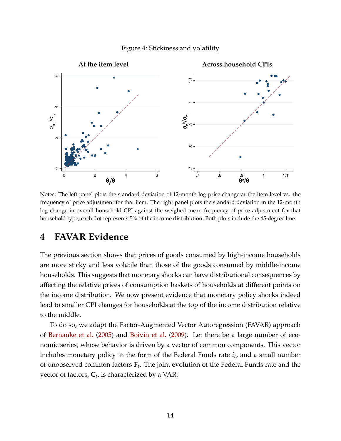<span id="page-15-1"></span>



Notes: The left panel plots the standard deviation of 12-month log price change at the item level vs. the frequency of price adjustment for that item. The right panel plots the standard deviation in the 12-month log change in overall household CPI against the weighed mean frequency of price adjustment for that household type; each dot represents 5% of the income distribution. Both plots include the 45-degree line.

## <span id="page-15-0"></span>**4 FAVAR Evidence**

The previous section shows that prices of goods consumed by high-income households are more sticky and less volatile than those of the goods consumed by middle-income households. This suggests that monetary shocks can have distributional consequences by affecting the relative prices of consumption baskets of households at different points on the income distribution. We now present evidence that monetary policy shocks indeed lead to smaller CPI changes for households at the top of the income distribution relative to the middle.

To do so, we adapt the Factor-Augmented Vector Autoregression (FAVAR) approach of [Bernanke et al.](#page-27-6) [\(2005\)](#page-27-6) and [Boivin et al.](#page-27-4) [\(2009\)](#page-27-4). Let there be a large number of economic series, whose behavior is driven by a vector of common components. This vector includes monetary policy in the form of the Federal Funds rate *i<sup>t</sup>* , and a small number of unobserved common factors **F***<sup>t</sup>* . The joint evolution of the Federal Funds rate and the vector of factors, **C***<sup>t</sup>* , is characterized by a VAR: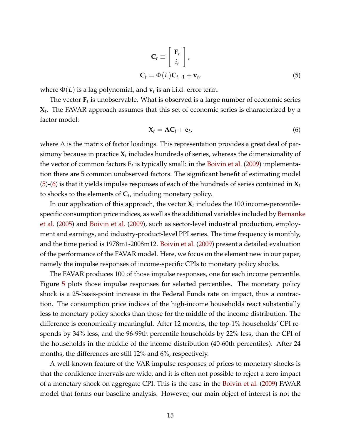<span id="page-16-0"></span>
$$
\mathbf{C}_{t} \equiv \begin{bmatrix} \mathbf{F}_{t} \\ i_{t} \end{bmatrix},
$$

$$
\mathbf{C}_{t} = \Phi(L)\mathbf{C}_{t-1} + \mathbf{v}_{t},
$$
(5)

where  $\Phi(L)$  is a lag polynomial, and  $\mathbf{v}_t$  is an i.i.d. error term.

The vector  $\mathbf{F}_t$  is unobservable. What is observed is a large number of economic series **X***t* . The FAVAR approach assumes that this set of economic series is characterized by a factor model:

<span id="page-16-1"></span>
$$
\mathbf{X}_t = \mathbf{\Lambda} \mathbf{C}_t + \mathbf{e}_t, \tag{6}
$$

where  $\Lambda$  is the matrix of factor loadings. This representation provides a great deal of parsimony because in practice  $\boldsymbol{X}_t$  includes hundreds of series, whereas the dimensionality of the vector of common factors **F***<sup>t</sup>* is typically small: in the [Boivin et al.](#page-27-4) [\(2009\)](#page-27-4) implementation there are 5 common unobserved factors. The significant benefit of estimating model [\(5\)](#page-16-0)-[\(6\)](#page-16-1) is that it yields impulse responses of each of the hundreds of series contained in **X***<sup>t</sup>* to shocks to the elements of **C***<sup>t</sup>* , including monetary policy.

In our application of this approach, the vector  $\mathbf{X}_t$  includes the 100 income-percentilespecific consumption price indices, as well as the additional variables included by [Bernank](#page-27-6)e [et al.](#page-27-6) [\(2005\)](#page-27-6) and [Boivin et al.](#page-27-4) [\(2009\)](#page-27-4), such as sector-level industrial production, employment and earnings, and industry-product-level PPI series. The time frequency is monthly, and the time period is 1978m1-2008m12. [Boivin et al.](#page-27-4) [\(2009\)](#page-27-4) present a detailed evaluation of the performance of the FAVAR model. Here, we focus on the element new in our paper, namely the impulse responses of income-specific CPIs to monetary policy shocks.

The FAVAR produces 100 of those impulse responses, one for each income percentile. Figure [5](#page-17-1) plots those impulse responses for selected percentiles. The monetary policy shock is a 25-basis-point increase in the Federal Funds rate on impact, thus a contraction. The consumption price indices of the high-income households react substantially less to monetary policy shocks than those for the middle of the income distribution. The difference is economically meaningful. After 12 months, the top-1% households' CPI responds by 34% less, and the 96-99th percentile households by 22% less, than the CPI of the households in the middle of the income distribution (40-60th percentiles). After 24 months, the differences are still 12% and 6%, respectively.

A well-known feature of the VAR impulse responses of prices to monetary shocks is that the confidence intervals are wide, and it is often not possible to reject a zero impact of a monetary shock on aggregate CPI. This is the case in the [Boivin et al.](#page-27-4) [\(2009\)](#page-27-4) FAVAR model that forms our baseline analysis. However, our main object of interest is not the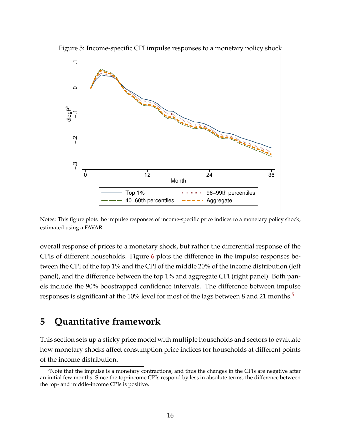

<span id="page-17-1"></span>Figure 5: Income-specific CPI impulse responses to a monetary policy shock



overall response of prices to a monetary shock, but rather the differential response of the CPIs of different households. Figure [6](#page-18-0) plots the difference in the impulse responses between the CPI of the top 1% and the CPI of the middle 20% of the income distribution (left panel), and the difference between the top 1% and aggregate CPI (right panel). Both panels include the 90% boostrapped confidence intervals. The difference between impulse responses is significant at the 10% level for most of the lags between 8 and 21 months.<sup>[5](#page-17-2)</sup>

## <span id="page-17-0"></span>**5 Quantitative framework**

This section sets up a sticky price model with multiple households and sectors to evaluate how monetary shocks affect consumption price indices for households at different points of the income distribution.

<span id="page-17-2"></span><sup>&</sup>lt;sup>5</sup>Note that the impulse is a monetary contractions, and thus the changes in the CPIs are negative after an initial few months. Since the top-income CPIs respond by less in absolute terms, the difference between the top- and middle-income CPIs is positive.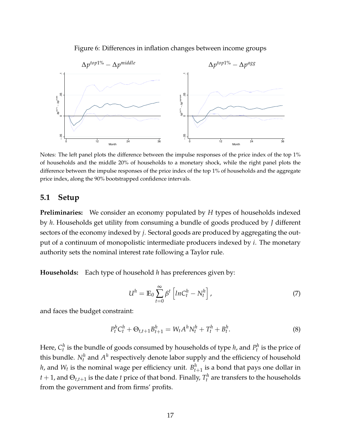<span id="page-18-0"></span>



Notes: The left panel plots the difference between the impulse responses of the price index of the top 1% of households and the middle 20% of households to a monetary shock, while the right panel plots the difference between the impulse responses of the price index of the top 1% of households and the aggregate price index, along the 90% bootstrapped confidence intervals.

#### **5.1 Setup**

**Preliminaries:** We consider an economy populated by *H* types of households indexed by *h*. Households get utility from consuming a bundle of goods produced by *J* different sectors of the economy indexed by *j*. Sectoral goods are produced by aggregating the output of a continuum of monopolistic intermediate producers indexed by *i*. The monetary authority sets the nominal interest rate following a Taylor rule.

**Households:** Each type of household *h* has preferences given by:

<span id="page-18-2"></span><span id="page-18-1"></span>
$$
U^h = \mathbb{E}_0 \sum_{t=0}^{\infty} \beta^t \left[ ln C_t^h - N_t^h \right], \tag{7}
$$

and faces the budget constraint:

$$
P_t^h C_t^h + \Theta_{t,t+1} B_{t+1}^h = W_t A^h N_t^h + T_t^h + B_t^h. \tag{8}
$$

Here,  $C_t^h$  is the bundle of goods consumed by households of type  $h$ , and  $P_t^h$  is the price of this bundle.  $N_t^h$  and  $A^h$  respectively denote labor supply and the efficiency of household *h*, and  $W_t$  is the nominal wage per efficiency unit.  $B_{t+1}^h$  is a bond that pays one dollar in  $t + 1$ , and  $\Theta_{t,t+1}$  is the date  $t$  price of that bond. Finally,  $T_t^h$  are transfers to the households from the government and from firms' profits.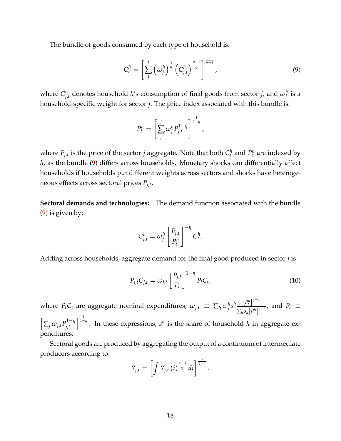The bundle of goods consumed by each type of household is:

<span id="page-19-0"></span>
$$
C_t^h = \left[\sum_j^J \left(\omega_j^h\right)^{\frac{1}{\eta}} \left(C_{j,t}^h\right)^{\frac{\eta-1}{\eta}}\right]^{\frac{\eta}{\eta-1}},\tag{9}
$$

where  $C_i^h$  $j_{j,t}^h$  denotes household *h'*s consumption of final goods from sector *j*, and  $\omega_j^h$  is a household-specific weight for sector *j*. The price index associated with this bundle is:

$$
P_t^h = \left[\sum_j^J \omega_j^h P_{j,t}^{1-\eta}\right]^{\frac{1}{1-\eta}},
$$

where  $P_{j,t}$  is the price of the sector *j* aggregate. Note that both  $C_t^h$  and  $P_t^h$  are indexed by *h*, as the bundle [\(9\)](#page-19-0) differs across households. Monetary shocks can differentially affect households if households put different weights across sectors and shocks have heterogeneous effects across sectoral prices *Pj*,*<sup>t</sup>* .

**Sectoral demands and technologies:** The demand function associated with the bundle [\(9\)](#page-19-0) is given by:

<span id="page-19-1"></span>
$$
C_{j,t}^h = \omega_j^h \left[ \frac{P_{j,t}}{P_t^h} \right]^{-\eta} C_t^h.
$$

Adding across households, aggregate demand for the final good produced in sector *j* is

$$
P_{j,t}C_{j,t} = \omega_{j,t} \left[\frac{P_{j,t}}{P_t}\right]^{1-\eta} P_t C_t,
$$
\n(10)

where  $P_t C_t$  are aggregate nominal expenditures,  $\omega_{j,t} \equiv \sum_h \omega_j^h s^h \frac{\left[P_t^h\right]^{\eta-1}}{\sum_{k} s_k \left[p_h^h\right]^{\eta}}$  $\frac{1}{\sum_{h} s_h [P_t^h]^{\eta-1}}$ , and  $P_t \equiv$ 

 $\left[ \sum_j \omega_{j,t} P^{1-\eta}_{j,t} \right]$ *j*,*t*  $\int_{0}^{\frac{1}{1-\eta}}$ . In these expressions, *s*<sup>*h*</sup> is the share of household *h* in aggregate expenditures.

Sectoral goods are produced by aggregating the output of a continuum of intermediate producers according to

$$
Y_{j,t} = \left[ \int Y_{j,t} \left( i \right)^{\frac{\gamma-1}{\gamma}} di \right]^{\frac{\gamma}{\gamma-1}}.
$$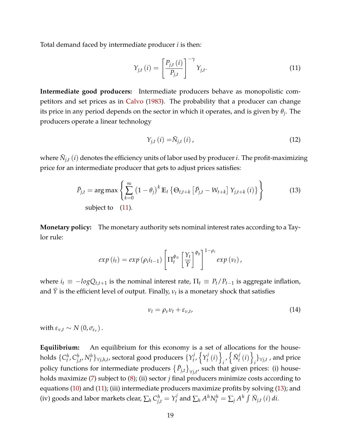Total demand faced by intermediate producer *i* is then:

<span id="page-20-0"></span>
$$
Y_{j,t}(i) = \left[\frac{P_{j,t}(i)}{P_{j,t}}\right]^{-\gamma} Y_{j,t}.
$$
\n(11)

**Intermediate good producers:** Intermediate producers behave as monopolistic competitors and set prices as in [Calvo](#page-27-10) [\(1983\)](#page-27-10). The probability that a producer can change its price in any period depends on the sector in which it operates, and is given by *θ<sup>j</sup>* . The producers operate a linear technology

<span id="page-20-1"></span>
$$
Y_{j,t} \left( i \right) = \bar{N}_{j,t} \left( i \right), \tag{12}
$$

where  $\bar{N}_{j,t}\left(i\right)$  denotes the efficiency units of labor used by producer  $i.$  The profit-maximizing price for an intermediate producer that gets to adjust prices satisfies:

$$
\bar{P}_{j,t} = \arg \max \left\{ \sum_{k=0}^{\infty} \left( 1 - \theta_j \right)^k \mathbb{E}_t \left\{ \Theta_{t,t+k} \left[ \bar{P}_{j,t} - W_{t+k} \right] Y_{j,t+k} \left( i \right) \right\} \right\}
$$
\nsubject to

\n(11).

**Monetary policy:** The monetary authority sets nominal interest rates according to a Taylor rule:

$$
exp(i_t) = exp(\rho_i i_{t-1}) \left[\Pi_t^{\phi_{\pi}} \left[\frac{Y_t}{\bar{Y}}\right]^{\phi_y}\right]^{1-\rho_i} exp(v_t),
$$

where  $i_t \equiv -logQ_{t,t+1}$  is the nominal interest rate,  $\Pi_t \equiv P_t/P_{t-1}$  is aggregate inflation, and  $\bar{Y}$  is the efficient level of output. Finally,  $\nu_t$  is a monetary shock that satisfies

$$
\nu_t = \rho_\nu \nu_t + \varepsilon_{\nu,t},\tag{14}
$$

with  $\varepsilon_{\nu,t} \sim N(0,\sigma_{\varepsilon_{\nu}})$ .

**Equilibrium:** An equilibrium for this economy is a set of allocations for the households  $\{C^h_t, C^h_{\overline{l},\overline{l}}\}$  $\{Y_{j,t'}^{h}N_t^h\}_{\forall j,h,t}$ , sectoral good producers  $\{Y_t^{j}$ *t* , n *Y j*  $\left\{ \begin{array}{c} i \end{array} \right\}$  $\sum_{i}^{j} \sqrt{\bar{N}_t^j}$  $\left\{ \begin{array}{c} i \\ t \end{array} \right\}$  $\{a_i\}_{\forall j,t}$  , and price policy functions for intermediate producers  $\{ \bar{P}_{j,t} \}_{\forall j,t'}$  such that given prices: (i) households maximize [\(7\)](#page-18-1) subject to [\(8\)](#page-18-2); (ii) sector *j* final producers minimize costs according to equations [\(10\)](#page-19-1) and [\(11\)](#page-20-0); (iii) intermediate producers maximize profits by solving [\(13\)](#page-20-1); and (iv) goods and labor markets clear,  $\sum_{h} C_{j,t}^{h} = Y_{t}^{j}$  $\sum_{h} A^{h} N_{t}^{h} = \sum_{j} A^{h} \int \bar{N}_{j,t} \left(i\right) di.$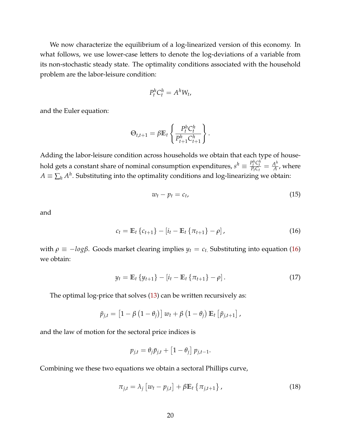We now characterize the equilibrium of a log-linearized version of this economy. In what follows, we use lower-case letters to denote the log-deviations of a variable from its non-stochastic steady state. The optimality conditions associated with the household problem are the labor-leisure condition:

$$
P_t^h C_t^h = A^h W_t,
$$

and the Euler equation:

$$
\Theta_{t,t+1} = \beta \mathbb{E}_t \left\{ \frac{P_t^h C_t^h}{P_{t+1}^h C_{t+1}^h} \right\}.
$$

Adding the labor-leisure condition across households we obtain that each type of household gets a constant share of nominal consumption expenditures,  $s^h \equiv \frac{P_t^h C_t^h}{P_t C_t} = \frac{A^h}{A}$  $\frac{4^n}{A}$ , where  $A\equiv \sum_h A^h.$  Substituting into the optimality conditions and log-linearizing we obtain:

<span id="page-21-1"></span><span id="page-21-0"></span>
$$
w_t - p_t = c_t, \tag{15}
$$

and

$$
c_t = \mathbb{E}_t \left\{ c_{t+1} \right\} - \left[ i_t - \mathbb{E}_t \left\{ \pi_{t+1} \right\} - \rho \right], \tag{16}
$$

with *ρ*  $\equiv -logβ$ . Goods market clearing implies *y<sub>t</sub>* = *c<sub>t</sub>*. Substituting into equation [\(16\)](#page-21-0) we obtain:

$$
y_t = \mathbb{E}_t \{ y_{t+1} \} - [i_t - \mathbb{E}_t \{ \pi_{t+1} \} - \rho]. \tag{17}
$$

The optimal log-price that solves [\(13\)](#page-20-1) can be written recursively as:

$$
\bar{p}_{j,t} = \left[1 - \beta\left(1 - \theta_j\right)\right]w_t + \beta\left(1 - \theta_j\right)\mathbb{E}_t\left[\bar{p}_{j,t+1}\right],
$$

and the law of motion for the sectoral price indices is

$$
p_{j,t} = \theta_j \bar{p}_{j,t} + \left[1 - \theta_j\right] p_{j,t-1}.
$$

Combining we these two equations we obtain a sectoral Phillips curve,

$$
\pi_{j,t} = \lambda_j \left[ w_t - p_{j,t} \right] + \beta \mathbb{E}_t \left\{ \pi_{j,t+1} \right\},\tag{18}
$$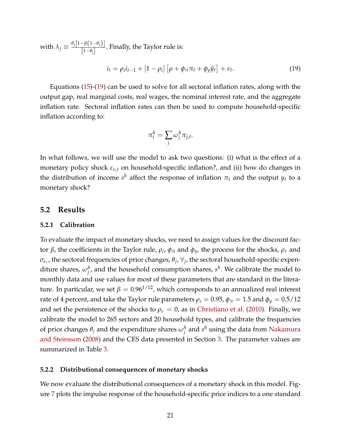with  $\lambda_j \equiv \frac{\theta_j[1-\beta(1-\theta_j)]}{[1-\theta_j]}$ [1−*θj*] . Finally, the Taylor rule is:

$$
i_t = \rho_i i_{t-1} + [1 - \rho_i] [\rho + \phi_\pi \pi_t + \phi_y \tilde{y}_t] + \nu_t.
$$
 (19)

Equations [\(15\)](#page-21-1)-[\(19\)](#page-22-0) can be used to solve for all sectoral inflation rates, along with the output gap, real marginal costs, real wages, the nominal interest rate, and the aggregate inflation rate. Sectoral inflation rates can then be used to compute household-specific inflation according to:

<span id="page-22-0"></span>
$$
\pi_t^h = \sum_j \omega_j^h \pi_{j,t}.
$$

In what follows, we will use the model to ask two questions: (i) what is the effect of a monetary policy shock *εν*,*<sup>t</sup>* on household-specific inflation?, and (ii) how do changes in the distribution of income  $s^h$  affect the response of inflation  $\pi_t$  and the output  $y_t$  to a monetary shock?

#### **5.2 Results**

#### **5.2.1 Calibration**

To evaluate the impact of monetary shocks, we need to assign values for the discount factor *β*, the coefficients in the Taylor rule, *ρ<sup>i</sup>* , *φ<sup>π</sup>* and *φy*, the process for the shocks, *ρ<sup>ν</sup>* and  $\sigma_{\varepsilon_\nu}$ , the sectoral frequencies of price changes,  $\theta_j$ ,  $\forall_j$ , the sectoral household-specific expenditure shares,  $\omega_j^h$ , and the household consumption shares,  $s^h$ . We calibrate the model to monthly data and use values for most of these parameters that are standard in the literature. In particular, we set  $β = 0.96<sup>1/12</sup>$ , which corresponds to an annualized real interest rate of 4 percent, and take the Taylor rule parameters  $\rho_i = 0.95$ ,  $\phi_{\pi} = 1.5$  and  $\phi_{\gamma} = 0.5/12$ and set the persistence of the shocks to  $\rho<sub>\nu</sub> = 0$ , as in [Christiano et al.](#page-27-11) [\(2010\)](#page-27-11). Finally, we calibrate the model to 265 sectors and 20 household types, and calibrate the frequencies of price changes  $\theta_j$  and the expenditure shares  $\omega_j^h$  and  $s^h$  using the data from [Nakamura](#page-28-3) [and Steinsson](#page-28-3) [\(2008\)](#page-28-3) and the CES data presented in Section [3.](#page-7-0) The parameter values are summarized in Table [3.](#page-23-0)

#### **5.2.2 Distributional consequences of monetary shocks**

We now evaluate the distributional consequences of a monetary shock in this model. Figure [7](#page-24-1) plots the impulse response of the household-specific price indices to a one standard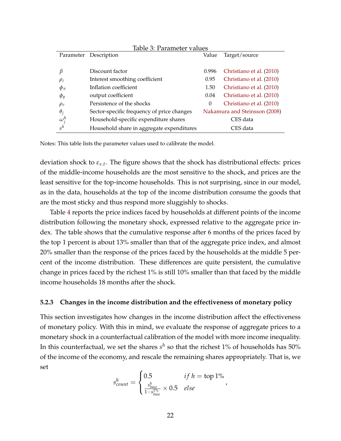<span id="page-23-0"></span>

| Table 3: Parameter values |                                            |       |                               |  |
|---------------------------|--------------------------------------------|-------|-------------------------------|--|
| Parameter                 | Description                                | Value | Target/source                 |  |
|                           |                                            |       |                               |  |
| β                         | Discount factor                            | 0.996 | Christiano et al. (2010)      |  |
| $\rho_i$                  | Interest smoothing coefficient             | 0.95  | Christiano et al. (2010)      |  |
| $\phi_{\pi}$              | Inflation coefficient                      | 1.50  | Christiano et al. (2010)      |  |
| $\phi_y$                  | output coefficient                         | 0.04  | Christiano et al. (2010)      |  |
| $\rho_v$                  | Persistence of the shocks                  | 0     | Christiano et al. (2010)      |  |
| $\theta_i$                | Sector-specific frequency of price changes |       | Nakamura and Steinsson (2008) |  |
| $\omega_i^h$              | Household-specific expenditure shares      |       | CES data                      |  |
| $s^h$                     | Household share in aggregate expenditures  |       | CES data                      |  |

Notes: This table lists the parameter values used to calibrate the model.

deviation shock to *εν*.*<sup>t</sup>* . The figure shows that the shock has distributional effects: prices of the middle-income households are the most sensitive to the shock, and prices are the least sensitive for the top-income households. This is not surprising, since in our model, as in the data, households at the top of the income distribution consume the goods that are the most sticky and thus respond more sluggishly to shocks.

Table [4](#page-25-0) reports the price indices faced by households at different points of the income distribution following the monetary shock, expressed relative to the aggregate price index. The table shows that the cumulative response after 6 months of the prices faced by the top 1 percent is about 13% smaller than that of the aggregate price index, and almost 20% smaller than the response of the prices faced by the households at the middle 5 percent of the income distribution. These differences are quite persistent, the cumulative change in prices faced by the richest 1% is still 10% smaller than that faced by the middle income households 18 months after the shock.

#### **5.2.3 Changes in the income distribution and the effectiveness of monetary policy**

This section investigates how changes in the income distribution affect the effectiveness of monetary policy. With this in mind, we evaluate the response of aggregate prices to a monetary shock in a counterfactual calibration of the model with more income inequality. In this counterfactual, we set the shares  $s^h$  so that the richest  $1\%$  of households has  $50\%$ of the income of the economy, and rescale the remaining shares appropriately. That is, we set

$$
s_{count}^h = \begin{cases} 0.5 & if h = \text{top 1\%} \\ \frac{s_{base}^h}{1 - s_{base}^{1\%}} \times 0.5 & else \end{cases}
$$

,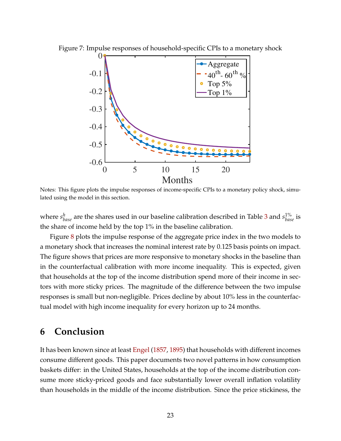<span id="page-24-1"></span>

Figure 7: Impulse responses of household-specific CPIs to a monetary shock

Notes: This figure plots the impulse responses of income-specific CPIs to a monetary policy shock, simulated using the model in this section.

where  $s^h_{base}$  are the shares used in our baseline calibration described in Table [3](#page-23-0) and  $s^{1\%}_{base}$  is the share of income held by the top 1% in the baseline calibration.

Figure [8](#page-26-0) plots the impulse response of the aggregate price index in the two models to a monetary shock that increases the nominal interest rate by 0.125 basis points on impact. The figure shows that prices are more responsive to monetary shocks in the baseline than in the counterfactual calibration with more income inequality. This is expected, given that households at the top of the income distribution spend more of their income in sectors with more sticky prices. The magnitude of the difference between the two impulse responses is small but non-negligible. Prices decline by about 10% less in the counterfactual model with high income inequality for every horizon up to 24 months.

## <span id="page-24-0"></span>**6 Conclusion**

It has been known since at least [Engel](#page-28-6) [\(1857,](#page-28-6) [1895\)](#page-28-7) that households with different incomes consume different goods. This paper documents two novel patterns in how consumption baskets differ: in the United States, households at the top of the income distribution consume more sticky-priced goods and face substantially lower overall inflation volatility than households in the middle of the income distribution. Since the price stickiness, the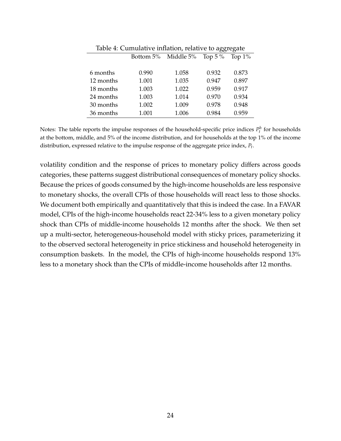| Table 4. Cumulative miliation, iclative to aggregate |       |                     |            |           |
|------------------------------------------------------|-------|---------------------|------------|-----------|
|                                                      |       | Bottom 5% Middle 5% | Top 5 $\%$ | Top $1\%$ |
|                                                      |       |                     |            |           |
| 6 months                                             | 0.990 | 1.058               | 0.932      | 0.873     |
| 12 months                                            | 1.001 | 1.035               | 0.947      | 0.897     |
| 18 months                                            | 1.003 | 1.022               | 0.959      | 0.917     |
| 24 months                                            | 1.003 | 1.014               | 0.970      | 0.934     |
| 30 months                                            | 1.002 | 1.009               | 0.978      | 0.948     |
| 36 months                                            | 1.001 | 1.006               | 0.984      | 0.959     |

<span id="page-25-0"></span>Table  $4$ : Cumulative inflation, relative to aggregate

Notes: The table reports the impulse responses of the household-specific price indices  $P_t^h$  for households at the bottom, middle, and 5% of the income distribution, and for households at the top 1% of the income distribution, expressed relative to the impulse response of the aggregate price index, *P<sup>t</sup>* .

volatility condition and the response of prices to monetary policy differs across goods categories, these patterns suggest distributional consequences of monetary policy shocks. Because the prices of goods consumed by the high-income households are less responsive to monetary shocks, the overall CPIs of those households will react less to those shocks. We document both empirically and quantitatively that this is indeed the case. In a FAVAR model, CPIs of the high-income households react 22-34% less to a given monetary policy shock than CPIs of middle-income households 12 months after the shock. We then set up a multi-sector, heterogeneous-household model with sticky prices, parameterizing it to the observed sectoral heterogeneity in price stickiness and household heterogeneity in consumption baskets. In the model, the CPIs of high-income households respond 13% less to a monetary shock than the CPIs of middle-income households after 12 months.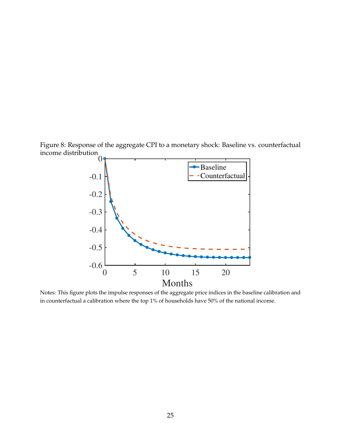Figure 8: Response of the aggregate CPI to a monetary shock: Baseline vs. counterfactual income distribution

<span id="page-26-0"></span>

Notes: This figure plots the impulse responses of the aggregate price indices in the baseline calibration and in counterfactual a calibration where the top 1% of households have 50% of the national income.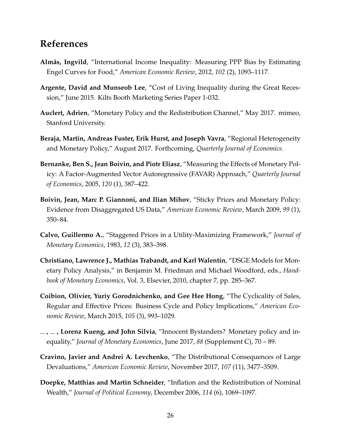## **References**

- <span id="page-27-5"></span>**Almås, Ingvild**, "International Income Inequality: Measuring PPP Bias by Estimating Engel Curves for Food," *American Economic Review*, 2012, *102* (2), 1093–1117.
- <span id="page-27-8"></span>**Argente, David and Munseob Lee**, "Cost of Living Inequality during the Great Recession," June 2015. Kilts Booth Marketing Series Paper 1-032.
- <span id="page-27-1"></span>**Auclert, Adrien**, "Monetary Policy and the Redistribution Channel," May 2017. mimeo, Stanford University.
- <span id="page-27-2"></span>**Beraja, Martin, Andreas Fuster, Erik Hurst, and Joseph Vavra**, "Regional Heterogeneity and Monetary Policy," August 2017. Forthcoming, *Quarterly Journal of Economics*.
- <span id="page-27-6"></span>**Bernanke, Ben S., Jean Boivin, and Piotr Eliasz**, "Measuring the Effects of Monetary Policy: A Factor-Augmented Vector Autoregressive (FAVAR) Approach," *Quarterly Journal of Economics*, 2005, *120* (1), 387–422.
- <span id="page-27-4"></span>**Boivin, Jean, Marc P. Giannoni, and Ilian Mihov**, "Sticky Prices and Monetary Policy: Evidence from Disaggregated US Data," *American Economic Review*, March 2009, *99* (1), 350–84.
- <span id="page-27-10"></span>**Calvo, Guillermo A.**, "Staggered Prices in a Utility-Maximizing Framework," *Journal of Monetary Economics*, 1983, *12* (3), 383–398.
- <span id="page-27-11"></span>**Christiano, Lawrence J., Mathias Trabandt, and Karl Walentin**, "DSGE Models for Monetary Policy Analysis," in Benjamin M. Friedman and Michael Woodford, eds., *Handbook of Monetary Economics*, Vol. 3, Elsevier, 2010, chapter 7, pp. 285–367.
- <span id="page-27-9"></span>**Coibion, Olivier, Yuriy Gorodnichenko, and Gee Hee Hong**, "The Cyclicality of Sales, Regular and Effective Prices: Business Cycle and Policy Implications," *American Economic Review*, March 2015, *105* (3), 993–1029.
- <span id="page-27-3"></span>**, , Lorenz Kueng, and John Silvia**, "Innocent Bystanders? Monetary policy and inequality," *Journal of Monetary Economics*, June 2017, *88* (Supplement C), 70 – 89.
- <span id="page-27-7"></span>**Cravino, Javier and Andrei A. Levchenko**, "The Distributional Consequences of Large Devaluations," *American Economic Review*, November 2017, *107* (11), 3477–3509.
- <span id="page-27-0"></span>**Doepke, Matthias and Martin Schneider**, "Inflation and the Redistribution of Nominal Wealth," *Journal of Political Economy*, December 2006, *114* (6), 1069–1097.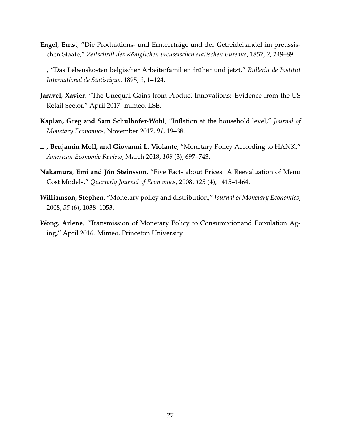- <span id="page-28-6"></span>**Engel, Ernst**, "Die Produktions- und Ernteerträge und der Getreidehandel im preussischen Staate," *Zeitschrift des Königlichen preussischen statischen Bureaus*, 1857, *2*, 249–89.
- <span id="page-28-7"></span>, "Das Lebenskosten belgischer Arbeiterfamilien früher und jetzt," *Bulletin de Institut International de Statistique*, 1895, *9*, 1–124.
- <span id="page-28-4"></span>**Jaravel, Xavier**, "The Unequal Gains from Product Innovations: Evidence from the US Retail Sector," April 2017. mimeo, LSE.
- <span id="page-28-5"></span>**Kaplan, Greg and Sam Schulhofer-Wohl**, "Inflation at the household level," *Journal of Monetary Economics*, November 2017, *91*, 19–38.
- <span id="page-28-2"></span>**, Benjamin Moll, and Giovanni L. Violante**, "Monetary Policy According to HANK," *American Economic Review*, March 2018, *108* (3), 697–743.
- <span id="page-28-3"></span>**Nakamura, Emi and Jón Steinsson**, "Five Facts about Prices: A Reevaluation of Menu Cost Models," *Quarterly Journal of Economics*, 2008, *123* (4), 1415–1464.
- <span id="page-28-0"></span>**Williamson, Stephen**, "Monetary policy and distribution," *Journal of Monetary Economics*, 2008, *55* (6), 1038–1053.
- <span id="page-28-1"></span>**Wong, Arlene**, "Transmission of Monetary Policy to Consumptionand Population Aging," April 2016. Mimeo, Princeton University.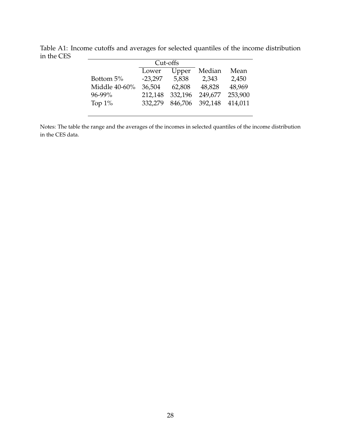<span id="page-29-0"></span>

|               | Cut-offs  |         |         |         |
|---------------|-----------|---------|---------|---------|
|               | Lower     | Upper   | Median  | Mean    |
| Bottom 5%     | $-23,297$ | 5,838   | 2,343   | 2,450   |
| Middle 40-60% | 36,504    | 62,808  | 48,828  | 48,969  |
| 96-99%        | 212,148   | 332,196 | 249,677 | 253,900 |
| Top $1\%$     | 332,279   | 846,706 | 392,148 | 414,011 |
|               |           |         |         |         |

Table A1: Income cutoffs and averages for selected quantiles of the income distribution in the CES  $\overline{a}$  $\overline{\phantom{0}}$ 

Notes: The table the range and the averages of the incomes in selected quantiles of the income distribution in the CES data.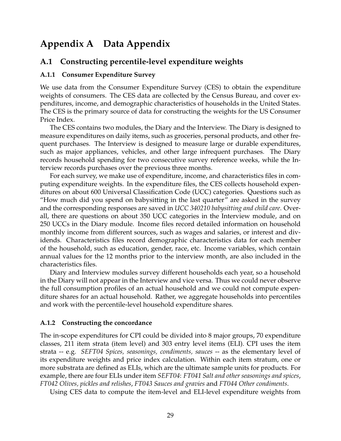## <span id="page-30-0"></span>**Appendix A Data Appendix**

## **A.1 Constructing percentile-level expenditure weights**

#### **A.1.1 Consumer Expenditure Survey**

We use data from the Consumer Expenditure Survey (CES) to obtain the expenditure weights of consumers. The CES data are collected by the Census Bureau, and cover expenditures, income, and demographic characteristics of households in the United States. The CES is the primary source of data for constructing the weights for the US Consumer Price Index.

The CES contains two modules, the Diary and the Interview. The Diary is designed to measure expenditures on daily items, such as groceries, personal products, and other frequent purchases. The Interview is designed to measure large or durable expenditures, such as major appliances, vehicles, and other large infrequent purchases. The Diary records household spending for two consecutive survey reference weeks, while the Interview records purchases over the previous three months.

For each survey, we make use of expenditure, income, and characteristics files in computing expenditure weights. In the expenditure files, the CES collects household expenditures on about 600 Universal Classification Code (UCC) categories. Questions such as "How much did you spend on babysitting in the last quarter" are asked in the survey and the corresponding responses are saved in *UCC 340210 babysitting and child care*. Overall, there are questions on about 350 UCC categories in the Interview module, and on 250 UCCs in the Diary module. Income files record detailed information on household monthly income from different sources, such as wages and salaries, or interest and dividends. Characteristics files record demographic characteristics data for each member of the household, such as education, gender, race, etc. Income variables, which contain annual values for the 12 months prior to the interview month, are also included in the characteristics files.

Diary and Interview modules survey different households each year, so a household in the Diary will not appear in the Interview and vice versa. Thus we could never observe the full consumption profiles of an actual household and we could not compute expenditure shares for an actual household. Rather, we aggregate households into percentiles and work with the percentile-level household expenditure shares.

### **A.1.2 Constructing the concordance**

The in-scope expenditures for CPI could be divided into 8 major groups, 70 expenditure classes, 211 item strata (item level) and 303 entry level items (ELI). CPI uses the item strata -- e.g. *SEFT04 Spices, seasonings, condiments, sauces* -- as the elementary level of its expenditure weights and price index calculation. Within each item stratum, one or more substrata are defined as ELIs, which are the ultimate sample units for products. For example, there are four ELIs under item *SEFT04*: *FT041 Salt and other seasonings and spices*, *FT042 Olives, pickles and relishes*, *FT043 Sauces and gravies* and *FT044 Other condiments*.

Using CES data to compute the item-level and ELI-level expenditure weights from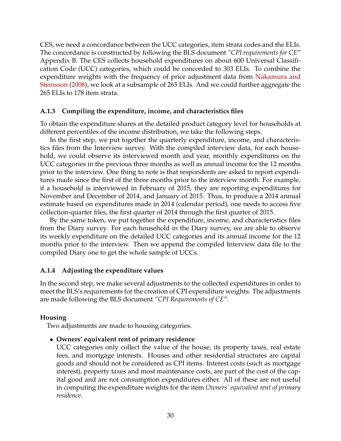CES, we need a concordance between the UCC categories, item strata codes and the ELIs. The concordance is constructed by following the BLS document *"CPI requirements for CE*" Appendix B. The CES collects household expenditures on about 600 Universal Classification Code (UCC) categories, which could be concorded to 303 ELIs. To combine the expenditure weights with the frequency of price adjustment data from [Nakamura and](#page-28-3) [Steinsson](#page-28-3) [\(2008\)](#page-28-3), we look at a subsample of 265 ELIs. And we could further aggregate the 265 ELIs to 178 item strata.

### **A.1.3 Compiling the expenditure, income, and characteristics files**

To obtain the expenditure shares at the detailed product category level for households at different percentiles of the income distribution, we take the following steps.

In the first step, we put together the quarterly expenditure, income, and characteristics files from the Interview survey. With the compiled interview data, for each household, we could observe its interviewed month and year, monthly expenditures on the UCC categories in the previous three months as well as annual income for the 12 months prior to the interview. One thing to note is that respondents are asked to report expenditures made since the first of the three months prior to the interview month. For example, if a household is interviewed in February of 2015, they are reporting expenditures for November and December of 2014, and January of 2015. Thus, to produce a 2014 annual estimate based on expenditures made in 2014 (calendar period), one needs to access five collection-quarter files, the first quarter of 2014 through the first quarter of 2015.

By the same token, we put together the expenditure, income, and characteristics files from the Diary survey. For each household in the Diary survey, we are able to observe its weekly expenditure on the detailed UCC categories and its annual income for the 12 months prior to the interview. Then we append the compiled Interview data file to the compiled Diary one to get the whole sample of UCCs.

### **A.1.4 Adjusting the expenditure values**

In the second step, we make several adjustments to the collected expenditures in order to meet the BLS's requirements for the creation of CPI expenditure weights. The adjustments are made following the BLS document *"CPI Requirements of CE*".

### **Housing**

Two adjustments are made to housing categories.

• **Owners' equivalent rent of primary residence**

UCC categories only collect the value of the house, its property taxes, real estate fees, and mortgage interests. Houses and other residential structures are capital goods and should not be considered as CPI items. Interest costs (such as mortgage interest), property taxes and most maintenance costs, are part of the cost of the capital good and are not consumption expenditures either. All of these are not useful in computing the expenditure weights for the item *Owners' equivalent rent of primary residence*.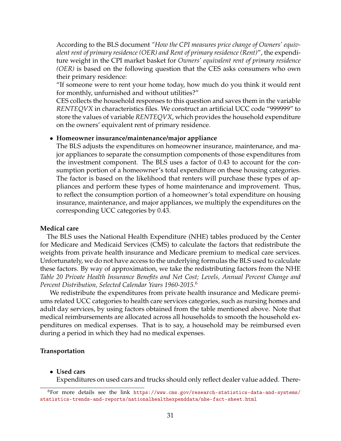According to the BLS document *"How the CPI measures price change of Owners' equivalent rent of primary residence (OER) and Rent of primary residence (Rent)*", the expenditure weight in the CPI market basket for *Owners' equivalent rent of primary residence (OER)* is based on the following question that the CES asks consumers who own their primary residence:

"If someone were to rent your home today, how much do you think it would rent for monthly, unfurnished and without utilities?"

CES collects the household responses to this question and saves them in the variable *RENTEQVX* in characteristics files. We construct an artificial UCC code "999999" to store the values of variable *RENTEQVX*, which provides the household expenditure on the owners' equivalent rent of primary residence.

#### • **Homeowner insurance/maintenance/major appliance**

The BLS adjusts the expenditures on homeowner insurance, maintenance, and major appliances to separate the consumption components of those expenditures from the investment component. The BLS uses a factor of 0.43 to account for the consumption portion of a homeowner's total expenditure on these housing categories. The factor is based on the likelihood that renters will purchase these types of appliances and perform these types of home maintenance and improvement. Thus, to reflect the consumption portion of a homeowner's total expenditure on housing insurance, maintenance, and major appliances, we multiply the expenditures on the corresponding UCC categories by 0.43.

#### **Medical care**

The BLS uses the National Health Expenditure (NHE) tables produced by the Center for Medicare and Medicaid Services (CMS) to calculate the factors that redistribute the weights from private health insurance and Medicare premium to medical care services. Unfortunately, we do not have access to the underlying formulas the BLS used to calculate these factors. By way of approximation, we take the redistributing factors from the NHE *Table 20 Private Health Insurance Benefits and Net Cost; Levels, Annual Percent Change and Percent Distribution, Selected Calendar Years 1960-2015*. [6](#page-32-0)

We redistribute the expenditures from private health insurance and Medicare premiums related UCC categories to health care services categories, such as nursing homes and adult day services, by using factors obtained from the table mentioned above. Note that medical reimbursements are allocated across all households to smooth the household expenditures on medical expenses. That is to say, a household may be reimbursed even during a period in which they had no medical expenses.

#### **Transportation**

#### • **Used cars**

Expenditures on used cars and trucks should only reflect dealer value added. There-

<span id="page-32-0"></span><sup>6</sup>For more details see the link [https://www.cms.gov/research-statistics-data-and-systems/](https://www.cms.gov/research-statistics-data-and-systems/statistics-trends-and-reports/nationalhealthexpenddata/nhe-fact-sheet.html) [statistics-trends-and-reports/nationalhealthexpenddata/nhe-fact-sheet.html](https://www.cms.gov/research-statistics-data-and-systems/statistics-trends-and-reports/nationalhealthexpenddata/nhe-fact-sheet.html)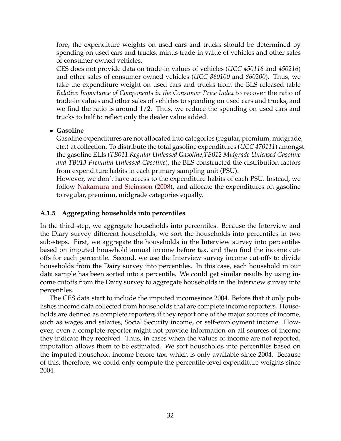fore, the expenditure weights on used cars and trucks should be determined by spending on used cars and trucks, minus trade-in value of vehicles and other sales of consumer-owned vehicles.

CES does not provide data on trade-in values of vehicles (*UCC 450116* and *450216*) and other sales of consumer owned vehicles (*UCC 860100* and *860200*). Thus, we take the expenditure weight on used cars and trucks from the BLS released table *Relative Importance of Components in the Consumer Price Index* to recover the ratio of trade-in values and other sales of vehicles to spending on used cars and trucks, and we find the ratio is around 1/2. Thus, we reduce the spending on used cars and trucks to half to reflect only the dealer value added.

### • **Gasoline**

Gasoline expenditures are not allocated into categories (regular, premium, midgrade, etc.) at collection. To distribute the total gasoline expenditures (*UCC 470111*) amongst the gasoline ELIs (*TB011 Regular Unleased Gasoline,TB012 Midgrade Unleased Gasoline and TB013 Premuim Unleased Gasoline*), the BLS constructed the distribution factors from expenditure habits in each primary sampling unit (PSU).

However, we don't have access to the expenditure habits of each PSU. Instead, we follow [Nakamura and Steinsson](#page-28-3) [\(2008\)](#page-28-3), and allocate the expenditures on gasoline to regular, premium, midgrade categories equally.

## <span id="page-33-0"></span>**A.1.5 Aggregating households into percentiles**

In the third step, we aggregate households into percentiles. Because the Interview and the Diary survey different households, we sort the households into percentiles in two sub-steps. First, we aggregate the households in the Interview survey into percentiles based on imputed household annual income before tax, and then find the income cutoffs for each percentile. Second, we use the Interview survey income cut-offs to divide households from the Dairy survey into percentiles. In this case, each household in our data sample has been sorted into a percentile. We could get similar results by using income cutoffs from the Dairy survey to aggregate households in the Interview survey into percentiles.

The CES data start to include the imputed incomesince 2004. Before that it only publishes income data collected from households that are complete income reporters. Households are defined as complete reporters if they report one of the major sources of income, such as wages and salaries, Social Security income, or self-employment income. However, even a complete reporter might not provide information on all sources of income they indicate they received. Thus, in cases when the values of income are not reported, imputation allows them to be estimated. We sort households into percentiles based on the imputed household income before tax, which is only available since 2004. Because of this, therefore, we could only compute the percentile-level expenditure weights since 2004.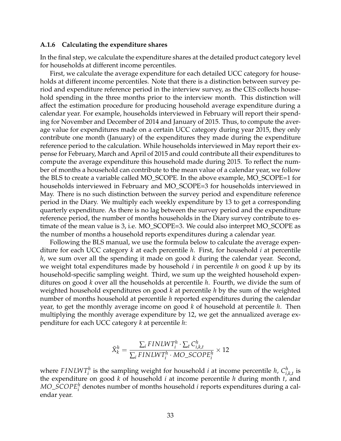#### **A.1.6 Calculating the expenditure shares**

In the final step, we calculate the expenditure shares at the detailed product category level for households at different income percentiles.

First, we calculate the average expenditure for each detailed UCC category for households at different income percentiles. Note that there is a distinction between survey period and expenditure reference period in the interview survey, as the CES collects household spending in the three months prior to the interview month. This distinction will affect the estimation procedure for producing household average expenditure during a calendar year. For example, households interviewed in February will report their spending for November and December of 2014 and January of 2015. Thus, to compute the average value for expenditures made on a certain UCC category during year 2015, they only contribute one month (January) of the expenditures they made during the expenditure reference period to the calculation. While households interviewed in May report their expense for February, March and April of 2015 and could contribute all their expenditures to compute the average expenditure this household made during 2015. To reflect the number of months a household can contribute to the mean value of a calendar year, we follow the BLS to create a variable called MO\_SCOPE. In the above example, MO\_SCOPE=1 for households interviewed in February and MO\_SCOPE=3 for households interviewed in May. There is no such distinction between the survey period and expenditure reference period in the Diary. We multiply each weekly expenditure by 13 to get a corresponding quarterly expenditure. As there is no lag between the survey period and the expenditure reference period, the number of months households in the Diary survey contribute to estimate of the mean value is 3, i.e. MO\_SCOPE=3. We could also interpret MO\_SCOPE as the number of months a household reports expenditures during a calendar year.

Following the BLS manual, we use the formula below to calculate the average expenditure for each UCC category *k* at each percentile *h*. First, for household *i* at percentile *h*, we sum over all the spending it made on good *k* during the calendar year. Second, we weight total expenditures made by household *i* in percentile *h* on good *k* up by its household-specific sampling weight. Third, we sum up the weighted household expenditures on good *k* over all the households at percentile *h*. Fourth, we divide the sum of weighted household expenditures on good *k* at percentile *h* by the sum of the weighted number of months household at percentile *h* reported expenditures during the calendar year, to get the monthly average income on good *k* of household at percentile *h*. Then multiplying the monthly average expenditure by 12, we get the annualized average expenditure for each UCC category *k* at percentile *h*:

$$
\bar{X}_{k}^{h} = \frac{\sum_{i} FINLWT_{i}^{h} \cdot \sum_{t} C_{i,k,t}^{h}}{\sum_{i} FINLWT_{i}^{h} \cdot MO\_SCOPE_{i}^{h}} \times 12
$$

where  $FINLWT_i^h$  is the sampling weight for household *i* at income percentile *h*,  $C_i^h$ ,  $\sum_{i,k,t}^n$  is the expenditure on good *k* of household *i* at income percentile *h* during month *t*, and *MO*\_*SCOPE<sup>h</sup> i* denotes number of months household *i* reports expenditures during a calendar year.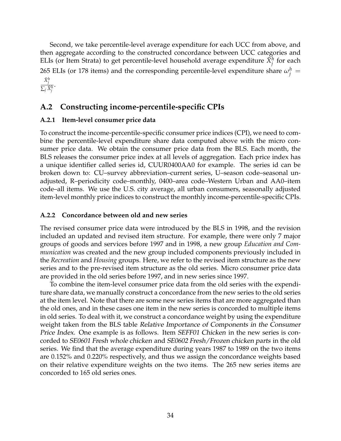Second, we take percentile-level average expenditure for each UCC from above, and then aggregate according to the constructed concordance between UCC categories and ELIs (or Item Strata) to get percentile-level household average expenditure  $\bar{X}_j^h$  for each 265 ELIs (or 178 items) and the corresponding percentile-level expenditure share  $\omega_j^h =$  $\bar{X}^h_i$ *j*

 $\frac{j}{\sum_j \bar{X}_j^h}$ .

## <span id="page-35-0"></span>**A.2 Constructing income-percentile-specific CPIs**

### **A.2.1 Item-level consumer price data**

To construct the income-percentile-specific consumer price indices (CPI), we need to combine the percentile-level expenditure share data computed above with the micro consumer price data. We obtain the consumer price data from the BLS. Each month, the BLS releases the consumer price index at all levels of aggregation. Each price index has a unique identifier called series id, CUUR0400AA0 for example. The series id can be broken down to: CU–survey abbreviation–current series, U–season code–seasonal unadjusted, R–periodicity code–monthly, 0400–area code–Western Urban and AA0–item code–all items. We use the U.S. city average, all urban consumers, seasonally adjusted item-level monthly price indices to construct the monthly income-percentile-specific CPIs.

### **A.2.2 Concordance between old and new series**

The revised consumer price data were introduced by the BLS in 1998, and the revision included an updated and revised item structure. For example, there were only 7 major groups of goods and services before 1997 and in 1998, a new group *Education and Communication* was created and the new group included components previously included in the *Recreation* and *Housing* groups. Here, we refer to the revised item structure as the new series and to the pre-revised item structure as the old series. Micro consumer price data are provided in the old series before 1997, and in new series since 1997.

To combine the item-level consumer price data from the old series with the expenditure share data, we manually construct a concordance from the new series to the old series at the item level. Note that there are some new series items that are more aggregated than the old ones, and in these cases one item in the new series is concorded to multiple items in old series. To deal with it, we construct a concordance weight by using the expenditure weight taken from the BLS table Relative Importance of Components in the Consumer Price Index. One example is as follows. Item SEFF01 Chicken in the new series is concorded to SE0601 Fresh whole chicken and SE0602 Fresh/Frozen chicken parts in the old series. We find that the average expenditure during years 1987 to 1989 on the two items are 0.152% and 0.220% respectively, and thus we assign the concordance weights based on their relative expenditure weights on the two items. The 265 new series items are concorded to 165 old series ones.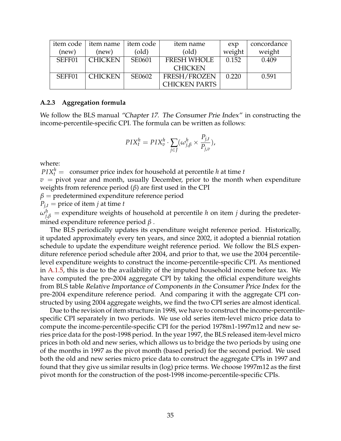| item code | item name | item code | item name            | exp    | concordance |
|-----------|-----------|-----------|----------------------|--------|-------------|
| (new)     | (new)     | (old)     | (old)                | weight | weight      |
| SEFF01    | CHICKEN   | SE0601    | <b>FRESH WHOLE</b>   | 0.152  | 0.409       |
|           |           |           | <b>CHICKEN</b>       |        |             |
| SEFF01    | CHICKEN   | SE0602    | <b>FRESH/FROZEN</b>  | 0.220  | 0.591       |
|           |           |           | <b>CHICKEN PARTS</b> |        |             |

#### **A.2.3 Aggregation formula**

We follow the BLS manual "Chapter 17. The Consumer Prie Index" in constructing the income-percentile-specific CPI. The formula can be written as follows:

$$
PIX_t^h = PIX_v^h \cdot \sum_{j \in J} (\omega_{j,\beta}^h \times \frac{P_{j,t}}{P_{j,v}}),
$$

where:

 $PIX_t^h =$  consumer price index for household at percentile *h* at time *t*  $v =$  pivot year and month, usually December, prior to the month when expenditure weights from reference period (*β*) are first used in the CPI

 $\beta$  = predetermined expenditure reference period

 $P_{j,t}$  = price of item *j* at time *t* 

 $\omega_{j,\beta}^{h} =$  expenditure weights of household at percentile *h* on item *j* during the predetermined expenditure reference period *β* .

The BLS periodically updates its expenditure weight reference period. Historically, it updated approximately every ten years, and since 2002, it adopted a biennial rotation schedule to update the expenditure weight reference period. We follow the BLS expenditure reference period schedule after 2004, and prior to that, we use the 2004 percentilelevel expenditure weights to construct the income-percentile-specific CPI. As mentioned in [A.1.5,](#page-33-0) this is due to the availability of the imputed household income before tax. We have computed the pre-2004 aggregate CPI by taking the official expenditure weights from BLS table Relative Importance of Components in the Consumer Price Index for the pre-2004 expenditure reference period. And comparing it with the aggregate CPI constructed by using 2004 aggregate weights, we find the two CPI series are almost identical.

Due to the revision of item structure in 1998, we have to construct the income-percentilespecific CPI separately in two periods. We use old series item-level micro price data to compute the income-percentile-specific CPI for the period 1978m1-1997m12 and new series price data for the post-1998 period. In the year 1997, the BLS released item-level micro prices in both old and new series, which allows us to bridge the two periods by using one of the months in 1997 as the pivot month (based period) for the second period. We used both the old and new series micro price data to construct the aggregate CPIs in 1997 and found that they give us similar results in (log) price terms. We choose 1997m12 as the first pivot month for the construction of the post-1998 income-percentile-specific CPIs.